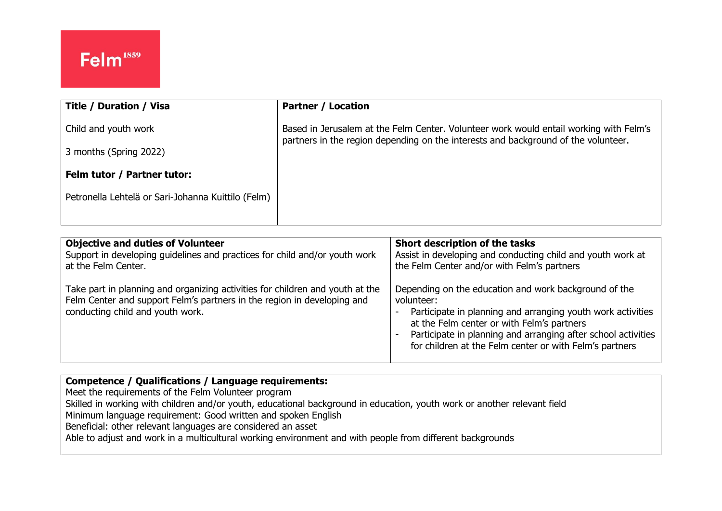ļ,

| <b>Title / Duration / Visa</b>                     | <b>Partner / Location</b>                                                                                                                                                    |
|----------------------------------------------------|------------------------------------------------------------------------------------------------------------------------------------------------------------------------------|
| Child and youth work                               | Based in Jerusalem at the Felm Center. Volunteer work would entail working with Felm's<br>partners in the region depending on the interests and background of the volunteer. |
| 3 months (Spring 2022)                             |                                                                                                                                                                              |
| Felm tutor / Partner tutor:                        |                                                                                                                                                                              |
| Petronella Lehtelä or Sari-Johanna Kuittilo (Felm) |                                                                                                                                                                              |
|                                                    |                                                                                                                                                                              |

| <b>Objective and duties of Volunteer</b>                                                                                                                                                     | Short description of the tasks                                                                                                                                                                                                                                                                               |
|----------------------------------------------------------------------------------------------------------------------------------------------------------------------------------------------|--------------------------------------------------------------------------------------------------------------------------------------------------------------------------------------------------------------------------------------------------------------------------------------------------------------|
| Support in developing guidelines and practices for child and/or youth work                                                                                                                   | Assist in developing and conducting child and youth work at                                                                                                                                                                                                                                                  |
| at the Felm Center.                                                                                                                                                                          | the Felm Center and/or with Felm's partners                                                                                                                                                                                                                                                                  |
| Take part in planning and organizing activities for children and youth at the<br>Felm Center and support Felm's partners in the region in developing and<br>conducting child and youth work. | Depending on the education and work background of the<br>volunteer:<br>Participate in planning and arranging youth work activities<br>at the Felm center or with Felm's partners<br>Participate in planning and arranging after school activities<br>for children at the Felm center or with Felm's partners |

## **Competence / Qualifications / Language requirements:** Meet the requirements of the Felm Volunteer program Skilled in working with children and/or youth, educational background in education, youth work or another relevant field

Minimum language requirement: Good written and spoken English

Beneficial: other relevant languages are considered an asset

Able to adjust and work in a multicultural working environment and with people from different backgrounds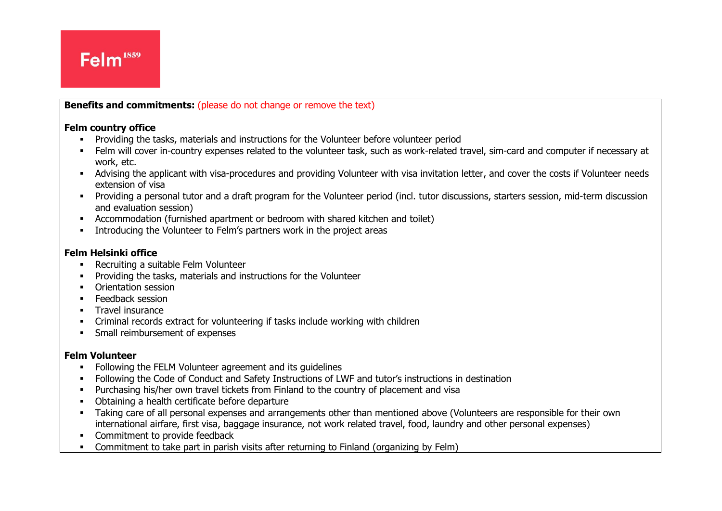

**Benefits and commitments:** (please do not change or remove the text)

## **Felm country office**

- **•** Providing the tasks, materials and instructions for the Volunteer before volunteer period
- Felm will cover in-country expenses related to the volunteer task, such as work-related travel, sim-card and computer if necessary at work, etc.
- Advising the applicant with visa-procedures and providing Volunteer with visa invitation letter, and cover the costs if Volunteer needs extension of visa
- Providing a personal tutor and a draft program for the Volunteer period (incl. tutor discussions, starters session, mid-term discussion and evaluation session)
- Accommodation (furnished apartment or bedroom with shared kitchen and toilet)
- Introducing the Volunteer to Felm's partners work in the project areas

## **Felm Helsinki office**

■ Recruiting a suitable Felm Volunteer

ļ,

- Providing the tasks, materials and instructions for the Volunteer
- Orientation session
- **•** Feedback session
- **■** Travel insurance
- Criminal records extract for volunteering if tasks include working with children
- **•** Small reimbursement of expenses

## **Felm Volunteer**

- Following the FELM Volunteer agreement and its guidelines
- **•** Following the Code of Conduct and Safety Instructions of LWF and tutor's instructions in destination
- **•** Purchasing his/her own travel tickets from Finland to the country of placement and visa
- Obtaining a health certificate before departure
- Taking care of all personal expenses and arrangements other than mentioned above (Volunteers are responsible for their own international airfare, first visa, baggage insurance, not work related travel, food, laundry and other personal expenses)
- Commitment to provide feedback
- Commitment to take part in parish visits after returning to Finland (organizing by Felm)